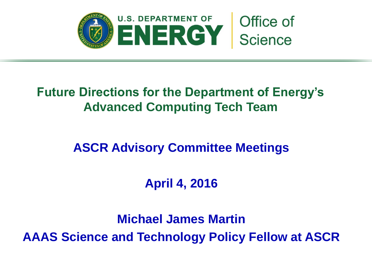

## **Future Directions for the Department of Energy's Advanced Computing Tech Team**

## **ASCR Advisory Committee Meetings**

## **April 4, 2016**

**Michael James Martin AAAS Science and Technology Policy Fellow at ASCR**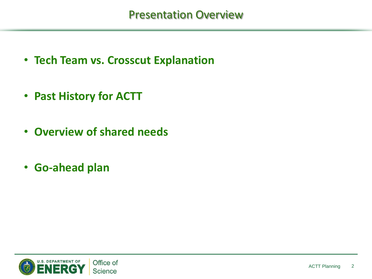- **Tech Team vs. Crosscut Explanation**
- **Past History for ACTT**
- **Overview of shared needs**
- **Go-ahead plan**

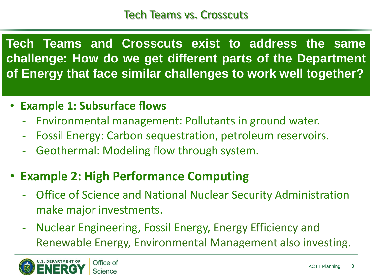**Tech Teams and Crosscuts exist to address the same challenge: How do we get different parts of the Department of Energy that face similar challenges to work well together?**

- **Example 1: Subsurface flows**
	- Environmental management: Pollutants in ground water.
	- Fossil Energy: Carbon sequestration, petroleum reservoirs.
	- Geothermal: Modeling flow through system.
- **Example 2: High Performance Computing**
	- Office of Science and National Nuclear Security Administration make major investments.
	- Nuclear Engineering, Fossil Energy, Energy Efficiency and Renewable Energy, Environmental Management also investing.

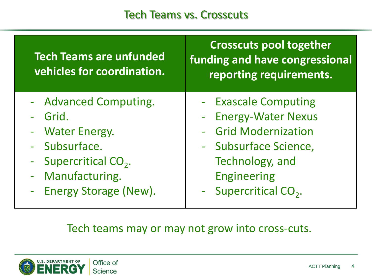#### Tech Teams vs. Crosscuts

| <b>Tech Teams are unfunded</b><br>vehicles for coordination. | <b>Crosscuts pool together</b><br>funding and have congressional<br>reporting requirements. |
|--------------------------------------------------------------|---------------------------------------------------------------------------------------------|
| - Advanced Computing.                                        | - Exascale Computing                                                                        |
| Grid.                                                        | - Energy-Water Nexus                                                                        |
| - Water Energy.                                              | - Grid Modernization                                                                        |
| - Subsurface.                                                | - Subsurface Science,                                                                       |
| - Supercritical $CO2$ .                                      | Technology, and                                                                             |
| - Manufacturing.                                             | <b>Engineering</b>                                                                          |
| - Energy Storage (New).                                      | - Supercritical CO <sub>2</sub> .                                                           |

#### Tech teams may or may not grow into cross-cuts.

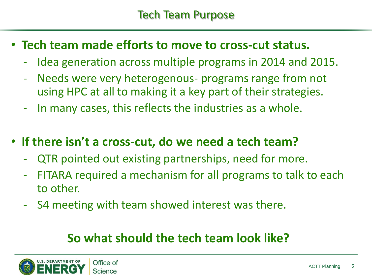- **Tech team made efforts to move to cross-cut status.**
	- Idea generation across multiple programs in 2014 and 2015.
	- Needs were very heterogenous- programs range from not using HPC at all to making it a key part of their strategies.
	- In many cases, this reflects the industries as a whole.
- **If there isn't a cross-cut, do we need a tech team?**
	- QTR pointed out existing partnerships, need for more.
	- FITARA required a mechanism for all programs to talk to each to other.
	- S4 meeting with team showed interest was there.

## **So what should the tech team look like?**

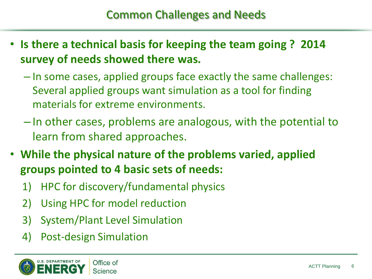- **Is there a technical basis for keeping the team going ? 2014 survey of needs showed there was.**
	- In some cases, applied groups face exactly the same challenges: Several applied groups want simulation as a tool for finding materials for extreme environments.
	- In other cases, problems are analogous, with the potential to learn from shared approaches.
- **While the physical nature of the problems varied, applied groups pointed to 4 basic sets of needs:**
	- 1) HPC for discovery/fundamental physics
	- 2) Using HPC for model reduction
	- 3) System/Plant Level Simulation
	- 4) Post-design Simulation

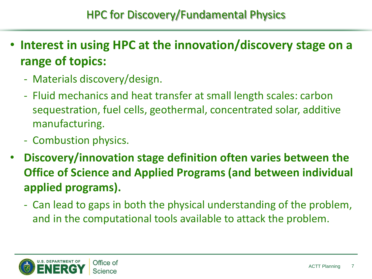- **Interest in using HPC at the innovation/discovery stage on a range of topics:**
	- Materials discovery/design.
	- Fluid mechanics and heat transfer at small length scales: carbon sequestration, fuel cells, geothermal, concentrated solar, additive manufacturing.
	- Combustion physics.
- **Discovery/innovation stage definition often varies between the Office of Science and Applied Programs (and between individual applied programs).**
	- Can lead to gaps in both the physical understanding of the problem, and in the computational tools available to attack the problem.

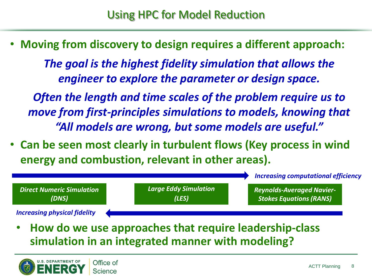• **Moving from discovery to design requires a different approach:**

*The goal is the highest fidelity simulation that allows the engineer to explore the parameter or design space.*

*Often the length and time scales of the problem require us to move from first-principles simulations to models, knowing that "All models are wrong, but some models are useful."*

• **Can be seen most clearly in turbulent flows (Key process in wind energy and combustion, relevant in other areas).**



• **How do we use approaches that require leadership-class simulation in an integrated manner with modeling?**

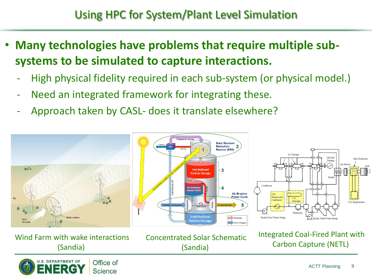- **Many technologies have problems that require multiple subsystems to be simulated to capture interactions.**
	- High physical fidelity required in each sub-system (or physical model.)
	- Need an integrated framework for integrating these.
	- Approach taken by CASL- does it translate elsewhere?

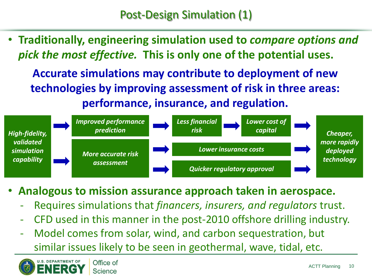• **Traditionally, engineering simulation used to** *compare options and pick the most effective.* **This is only one of the potential uses.**

**Accurate simulations may contribute to deployment of new technologies by improving assessment of risk in three areas: performance, insurance, and regulation.**



- **Analogous to mission assurance approach taken in aerospace.**
	- Requires simulations that *financers, insurers, and regulators* trust.
	- CFD used in this manner in the post-2010 offshore drilling industry.
	- Model comes from solar, wind, and carbon sequestration, but similar issues likely to be seen in geothermal, wave, tidal, etc.

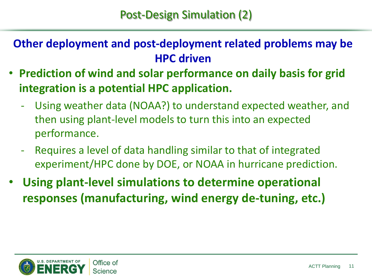### **Other deployment and post-deployment related problems may be HPC driven**

- **Prediction of wind and solar performance on daily basis for grid integration is a potential HPC application.**
	- Using weather data (NOAA?) to understand expected weather, and then using plant-level models to turn this into an expected performance.
	- Requires a level of data handling similar to that of integrated experiment/HPC done by DOE, or NOAA in hurricane prediction.
- **Using plant-level simulations to determine operational responses (manufacturing, wind energy de-tuning, etc.)**

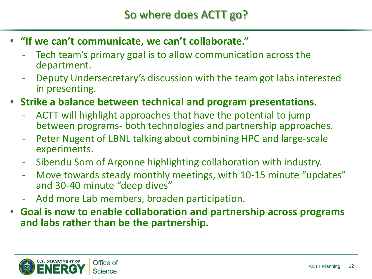- **"If we can't communicate, we can't collaborate."**
	- Tech team's primary goal is to allow communication across the department.
	- Deputy Undersecretary's discussion with the team got labs interested in presenting.
- **Strike a balance between technical and program presentations.**
	- ACTT will highlight approaches that have the potential to jump between programs- both technologies and partnership approaches.
	- Peter Nugent of LBNL talking about combining HPC and large-scale experiments.
	- Sibendu Som of Argonne highlighting collaboration with industry.
	- Move towards steady monthly meetings, with 10-15 minute "updates" and 30-40 minute "deep dives"
	- Add more Lab members, broaden participation.
- **Goal is now to enable collaboration and partnership across programs and labs rather than be the partnership.**